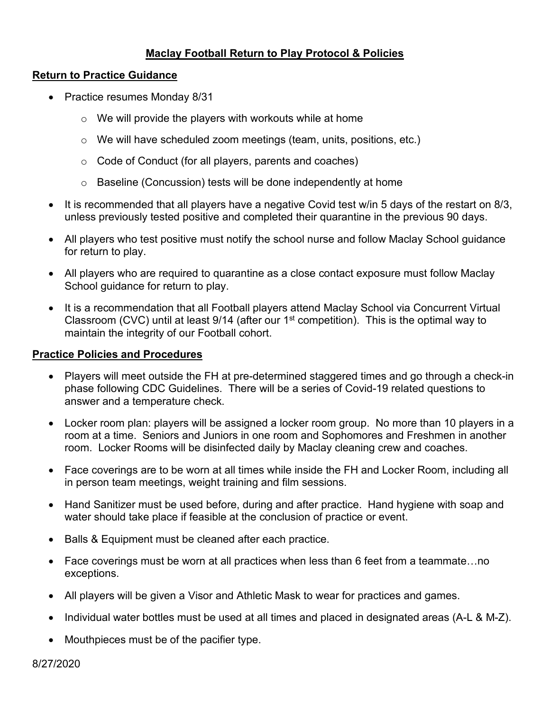# **Maclay Football Return to Play Protocol & Policies**

## **Return to Practice Guidance**

- Practice resumes Monday 8/31
	- $\circ$  We will provide the players with workouts while at home
	- $\circ$  We will have scheduled zoom meetings (team, units, positions, etc.)
	- o Code of Conduct (for all players, parents and coaches)
	- o Baseline (Concussion) tests will be done independently at home
- It is recommended that all players have a negative Covid test w/in 5 days of the restart on 8/3, unless previously tested positive and completed their quarantine in the previous 90 days.
- All players who test positive must notify the school nurse and follow Maclay School guidance for return to play.
- All players who are required to quarantine as a close contact exposure must follow Maclay School guidance for return to play.
- It is a recommendation that all Football players attend Maclay School via Concurrent Virtual Classroom (CVC) until at least  $9/14$  (after our  $1<sup>st</sup>$  competition). This is the optimal way to maintain the integrity of our Football cohort.

## **Practice Policies and Procedures**

- Players will meet outside the FH at pre-determined staggered times and go through a check-in phase following CDC Guidelines. There will be a series of Covid-19 related questions to answer and a temperature check.
- Locker room plan: players will be assigned a locker room group. No more than 10 players in a room at a time. Seniors and Juniors in one room and Sophomores and Freshmen in another room. Locker Rooms will be disinfected daily by Maclay cleaning crew and coaches.
- Face coverings are to be worn at all times while inside the FH and Locker Room, including all in person team meetings, weight training and film sessions.
- Hand Sanitizer must be used before, during and after practice. Hand hygiene with soap and water should take place if feasible at the conclusion of practice or event.
- Balls & Equipment must be cleaned after each practice.
- Face coverings must be worn at all practices when less than 6 feet from a teammate...no exceptions.
- All players will be given a Visor and Athletic Mask to wear for practices and games.
- Individual water bottles must be used at all times and placed in designated areas (A-L & M-Z).
- Mouthpieces must be of the pacifier type.